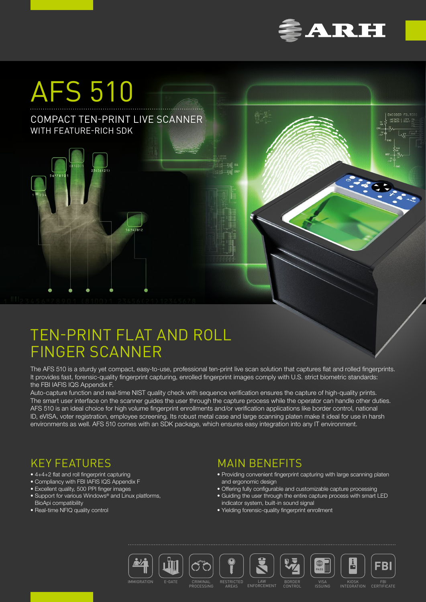

HHISKER 1 LEFT

# AFS 510

## COMPACT TEN-PRINT LIVE SCANNER WITH FEATURE-RICH SDK

 $456(21)$ 

# TEN-PRINT FLAT AND ROLL FINGER SCANNER

56347812

The AFS 510 is a sturdy yet compact, easy-to-use, professional ten-print live scan solution that captures flat and rolled fingerprints. It provides fast, forensic-quality fingerprint capturing, enrolled fingerprint images comply with U.S. strict biometric standards: the FBI IAFIS IQS Appendix F.

Auto-capture function and real-time NIST quality check with sequence verification ensures the capture of high-quality prints. The smart user interface on the scanner guides the user through the capture process while the operator can handle other duties. AFS 510 is an ideal choice for high volume fingerprint enrollments and/or verification applications like border control, national ID, eVISA, voter registration, employee screening. Its robust metal case and large scanning platen make it ideal for use in harsh environments as well. AFS 510 comes with an SDK package, which ensures easy integration into any IT environment.

# KEY FEATURES

- 4+4+2 flat and roll fingerprint capturing
- Compliancy with FBI IAFIS IQS Appendix F
- Excellent quality, 500 PPI finger images
- Support for various Windows<sup>®</sup> and Linux platforms, BioApi compatibility
- Real-time NFIQ quality control

# MAIN BENEFITS

- Providing convenient fingerprint capturing with large scanning platen and ergonomic design
- Offering fully configurable and customizable capture processing
- Guiding the user through the entire capture process with smart LED indicator system, built-in sound signal
- Yielding forensic-quality fingerprint enrollment





**PROCESSING** 





BORDER CONTROL

KIOSK<br>INTEGRATION

ė

VISA

PASS<sup>III</sup>

FBI CERTIFICATE

FBI